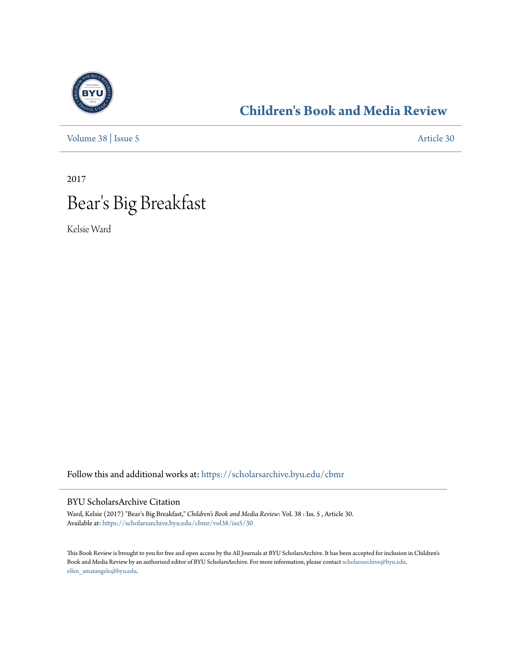

## **[Children's Book and Media Review](https://scholarsarchive.byu.edu/cbmr?utm_source=scholarsarchive.byu.edu%2Fcbmr%2Fvol38%2Fiss5%2F30&utm_medium=PDF&utm_campaign=PDFCoverPages)**

[Volume 38](https://scholarsarchive.byu.edu/cbmr/vol38?utm_source=scholarsarchive.byu.edu%2Fcbmr%2Fvol38%2Fiss5%2F30&utm_medium=PDF&utm_campaign=PDFCoverPages) | [Issue 5](https://scholarsarchive.byu.edu/cbmr/vol38/iss5?utm_source=scholarsarchive.byu.edu%2Fcbmr%2Fvol38%2Fiss5%2F30&utm_medium=PDF&utm_campaign=PDFCoverPages) [Article 30](https://scholarsarchive.byu.edu/cbmr/vol38/iss5/30?utm_source=scholarsarchive.byu.edu%2Fcbmr%2Fvol38%2Fiss5%2F30&utm_medium=PDF&utm_campaign=PDFCoverPages)

2017

## Bear 's Big Breakfast

Kelsie Ward

Follow this and additional works at: [https://scholarsarchive.byu.edu/cbmr](https://scholarsarchive.byu.edu/cbmr?utm_source=scholarsarchive.byu.edu%2Fcbmr%2Fvol38%2Fiss5%2F30&utm_medium=PDF&utm_campaign=PDFCoverPages)

## BYU ScholarsArchive Citation

Ward, Kelsie (2017) "Bear's Big Breakfast," *Children's Book and Media Review*: Vol. 38 : Iss. 5 , Article 30. Available at: [https://scholarsarchive.byu.edu/cbmr/vol38/iss5/30](https://scholarsarchive.byu.edu/cbmr/vol38/iss5/30?utm_source=scholarsarchive.byu.edu%2Fcbmr%2Fvol38%2Fiss5%2F30&utm_medium=PDF&utm_campaign=PDFCoverPages)

This Book Review is brought to you for free and open access by the All Journals at BYU ScholarsArchive. It has been accepted for inclusion in Children's Book and Media Review by an authorized editor of BYU ScholarsArchive. For more information, please contact [scholarsarchive@byu.edu,](mailto:scholarsarchive@byu.edu,%20ellen_amatangelo@byu.edu) [ellen\\_amatangelo@byu.edu.](mailto:scholarsarchive@byu.edu,%20ellen_amatangelo@byu.edu)